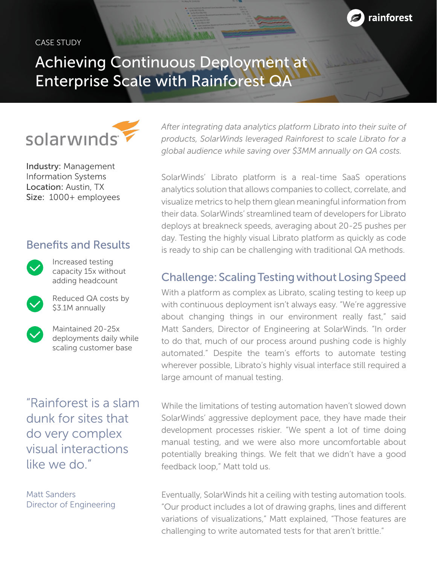#### CASE STUDY



## Achieving Continuous Deployment at Enterprise Scale with Rainforest QA



Industry: Management Information Systems Location: Austin, TX Size: 1000+ employees

## Benefits and Results



Increased testing capacity 15x without adding headcount



Reduced QA costs by \$3.1M annually



Maintained 20-25x deployments daily while scaling customer base

"Rainforest is a slam dunk for sites that do very complex visual interactions like we do."

Matt Sanders Director of Engineering *After integrating data analytics platform Librato into their suite of products, SolarWinds leveraged Rainforest to scale Librato for a global audience while saving over \$3MM annually on QA costs.* 

SolarWinds' Librato platform is a real-time SaaS operations analytics solution that allows companies to collect, correlate, and visualize metrics to help them glean meaningful information from their data. SolarWinds' streamlined team of developers for Librato deploys at breakneck speeds, averaging about 20-25 pushes per day. Testing the highly visual Librato platform as quickly as code is ready to ship can be challenging with traditional QA methods.

## Challenge: Scaling Testing without Losing Speed

With a platform as complex as Librato, scaling testing to keep up with continuous deployment isn't always easy. "We're aggressive about changing things in our environment really fast," said Matt Sanders, Director of Engineering at SolarWinds. "In order to do that, much of our process around pushing code is highly automated." Despite the team's efforts to automate testing wherever possible, Librato's highly visual interface still required a large amount of manual testing.

While the limitations of testing automation haven't slowed down SolarWinds' aggressive deployment pace, they have made their development processes riskier. "We spent a lot of time doing manual testing, and we were also more uncomfortable about potentially breaking things. We felt that we didn't have a good feedback loop," Matt told us.

Eventually, SolarWinds hit a ceiling with testing automation tools. "Our product includes a lot of drawing graphs, lines and different variations of visualizations," Matt explained, "Those features are challenging to write automated tests for that aren't brittle."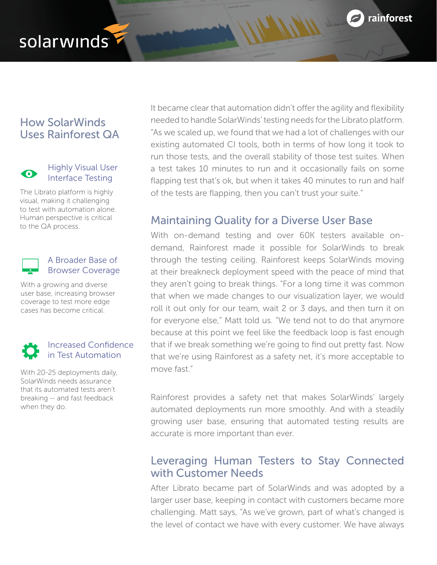

# solarwinds

## How SolarWinds Uses Rainforest QA



Highly Visual User Interface Testing

The Librato platform is highly visual, making it challenging to test with automation alone. Human perspective is critical to the QA process.

#### A Broader Base of Browser Coverage

With a growing and diverse user base, increasing browser coverage to test more edge cases has become critical.

### Increased Confidence in Test Automation

With 20-25 deployments daily, SolarWinds needs assurance that its automated tests aren't breaking -- and fast feedback when they do.

It became clear that automation didn't offer the agility and flexibility needed to handle SolarWinds' testing needs for the Librato platform. "As we scaled up, we found that we had a lot of challenges with our existing automated CI tools, both in terms of how long it took to run those tests, and the overall stability of those test suites. When a test takes 10 minutes to run and it occasionally fails on some flapping test that's ok, but when it takes 40 minutes to run and half of the tests are flapping, then you can't trust your suite."

## Maintaining Quality for a Diverse User Base

With on-demand testing and over 60K testers available ondemand, Rainforest made it possible for SolarWinds to break through the testing ceiling. Rainforest keeps SolarWinds moving at their breakneck deployment speed with the peace of mind that they aren't going to break things. "For a long time it was common that when we made changes to our visualization layer, we would roll it out only for our team, wait 2 or 3 days, and then turn it on for everyone else," Matt told us. "We tend not to do that anymore because at this point we feel like the feedback loop is fast enough that if we break something we're going to find out pretty fast. Now that we're using Rainforest as a safety net, it's more acceptable to move fast."

Rainforest provides a safety net that makes SolarWinds' largely automated deployments run more smoothly. And with a steadily growing user base, ensuring that automated testing results are accurate is more important than ever.

## Leveraging Human Testers to Stay Connected with Customer Needs

After Librato became part of SolarWinds and was adopted by a larger user base, keeping in contact with customers became more challenging. Matt says, "As we've grown, part of what's changed is the level of contact we have with every customer. We have always